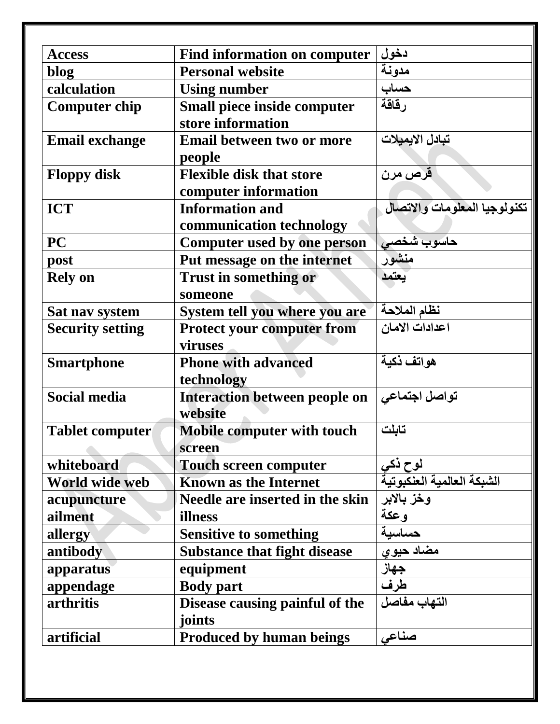| <b>Access</b>           | <b>Find information on computer</b>  | دخول                         |
|-------------------------|--------------------------------------|------------------------------|
| blog                    | <b>Personal website</b>              | مدونة                        |
| calculation             | <b>Using number</b>                  | حساب                         |
| <b>Computer chip</b>    | Small piece inside computer          | رقاقة                        |
|                         | store information                    |                              |
| <b>Email exchange</b>   | <b>Email between two or more</b>     | تبادل الايميلات              |
|                         | people                               |                              |
| <b>Floppy disk</b>      | <b>Flexible disk that store</b>      | قرص مرن                      |
|                         | computer information                 |                              |
| <b>ICT</b>              | <b>Information and</b>               | تكنولوجيا المعلومات والاتصال |
|                         | communication technology             |                              |
| <b>PC</b>               | Computer used by one person          | حاسوب شخصي                   |
| post                    | Put message on the internet          | منشور                        |
| <b>Rely on</b>          | <b>Trust in something or</b>         | يعتمد                        |
|                         | someone                              |                              |
| Sat nav system          | System tell you where you are        | نظام الملاحة                 |
| <b>Security setting</b> | <b>Protect your computer from</b>    | اعدادات الامان               |
|                         | viruses                              |                              |
| <b>Smartphone</b>       | <b>Phone with advanced</b>           | هواتف ذكية                   |
|                         | technology                           |                              |
| <b>Social media</b>     | <b>Interaction between people on</b> | تواصل اجتماعي                |
|                         | website                              |                              |
| <b>Tablet computer</b>  | Mobile computer with touch           | تابلت                        |
|                         | screen                               |                              |
| whiteboard              | <b>Touch screen computer</b>         | لوح ذكي                      |
| World wide web          | <b>Known as the Internet</b>         | الشبكة العالمية العنكبوتية   |
| acupuncture             | Needle are inserted in the skin      | وخز بالابر                   |
| ailment                 | illness                              | وعكة                         |
| allergy                 | <b>Sensitive to something</b>        | حساسية                       |
| antibody                | <b>Substance that fight disease</b>  | مضاد حيو ي                   |
| apparatus               | equipment                            | جهاز<br>طرف                  |
| appendage               | <b>Body part</b>                     |                              |
| arthritis               | Disease causing painful of the       | التهاب مفاصل                 |
|                         | joints                               |                              |
| artificial              | <b>Produced by human beings</b>      | صناعى                        |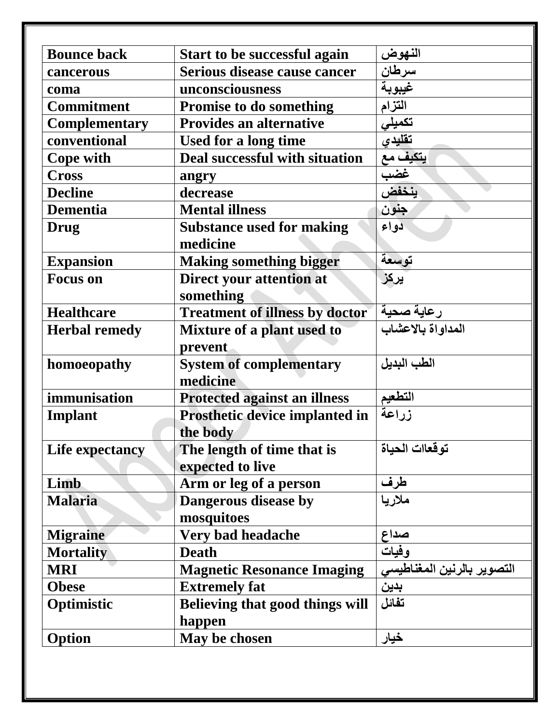| <b>Bounce back</b>   | <b>Start to be successful again</b>        | النهوض                     |
|----------------------|--------------------------------------------|----------------------------|
| cancerous            | Serious disease cause cancer               | سرطان                      |
| coma                 | unconsciousness                            | غيبوبة                     |
| <b>Commitment</b>    | <b>Promise to do something</b>             | التزام                     |
| <b>Complementary</b> | <b>Provides an alternative</b>             | تكميلي                     |
| conventional         | Used for a long time                       | تقليدي                     |
| <b>Cope with</b>     | Deal successful with situation             | يتكيف مع                   |
| <b>Cross</b>         | angry                                      | غضب                        |
| <b>Decline</b>       | decrease                                   | ينخفض                      |
| <b>Dementia</b>      | <b>Mental illness</b>                      | جنون                       |
| Drug                 | <b>Substance used for making</b>           | دواء                       |
|                      | medicine                                   |                            |
| <b>Expansion</b>     | <b>Making something bigger</b>             | توسعة                      |
| <b>Focus</b> on      | Direct your attention at<br>something      | يركز                       |
| <b>Healthcare</b>    | <b>Treatment of illness by doctor</b>      | رعاية صحية                 |
| <b>Herbal remedy</b> | Mixture of a plant used to                 | المداواة بالاعشاب          |
|                      | prevent                                    |                            |
| homoeopathy          | <b>System of complementary</b><br>medicine | الطب البديل                |
| immunisation         | <b>Protected against an illness</b>        | التطعيم                    |
| Implant              | Prosthetic device implanted in             | زراعة                      |
|                      | the body                                   |                            |
| Life expectancy      | The length of time that is                 | توقعاات الحياة             |
|                      | expected to live                           |                            |
| Limb                 | Arm or leg of a person                     | <u>طرف</u>                 |
| <b>Malaria</b>       | Dangerous disease by<br>mosquitoes         | ملاريا                     |
| <b>Migraine</b>      | Very bad headache                          | صداع                       |
| <b>Mortality</b>     | <b>Death</b>                               | وفيات                      |
| <b>MRI</b>           | <b>Magnetic Resonance Imaging</b>          | التصوير بالرنين المغناطيسى |
| <b>Obese</b>         | <b>Extremely fat</b>                       | بدين                       |
| Optimistic           | Believing that good things will            | تفائل                      |
|                      | happen                                     |                            |
| Option               | May be chosen                              | خيار                       |
|                      |                                            |                            |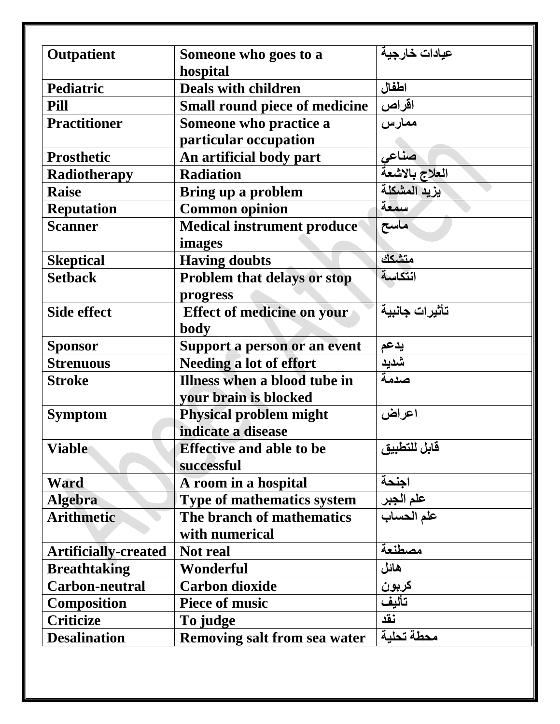| <b>Outpatient</b>           | Someone who goes to a                  | عيادات خارجية  |
|-----------------------------|----------------------------------------|----------------|
|                             |                                        |                |
| <b>Pediatric</b>            | hospital<br><b>Deals with children</b> | اطفال          |
|                             |                                        |                |
| Pill                        | <b>Small round piece of medicine</b>   | اقراص          |
| <b>Practitioner</b>         | Someone who practice a                 | ممارس          |
|                             | particular occupation                  |                |
| <b>Prosthetic</b>           | An artificial body part                | حسناعى         |
| Radiotherapy                | <b>Radiation</b>                       | العلاج بالاشعة |
| <b>Raise</b>                | Bring up a problem                     | يزيد المشكلة   |
| <b>Reputation</b>           | <b>Common opinion</b>                  | سمعة           |
| <b>Scanner</b>              | <b>Medical instrument produce</b>      | ماسح           |
|                             | images                                 |                |
| <b>Skeptical</b>            | <b>Having doubts</b>                   | متشكك          |
| <b>Setback</b>              | <b>Problem that delays or stop</b>     | انتكاسة        |
|                             | progress                               |                |
| <b>Side effect</b>          | <b>Effect of medicine on your</b>      | تأثيرات جانبية |
|                             | <b>body</b>                            |                |
| <b>Sponsor</b>              | Support a person or an event           | يدعم           |
| <b>Strenuous</b>            | <b>Needing a lot of effort</b>         | شديد           |
| <b>Stroke</b>               | Illness when a blood tube in           | صدمة           |
|                             | your brain is blocked                  |                |
| <b>Symptom</b>              | <b>Physical problem might</b>          | اعراض          |
|                             | indicate a disease                     |                |
| <b>Viable</b>               | <b>Effective and able to be</b>        | قابل للتطبيق   |
|                             | successful                             |                |
| Ward                        | A room in a hospital                   | اجنحة          |
| <b>Algebra</b>              | <b>Type of mathematics system</b>      | علم الجبر      |
| <b>Arithmetic</b>           | The branch of mathematics              | علم الحساب     |
|                             | with numerical                         |                |
| <b>Artificially-created</b> | <b>Not</b> real                        | مصطنعة         |
| <b>Breathtaking</b>         | Wonderful                              | هائل           |
| Carbon-neutral              | <b>Carbon dioxide</b>                  | كربون          |
| <b>Composition</b>          | <b>Piece of music</b>                  | تأليف          |
| <b>Criticize</b>            | To judge                               | نقد            |
| <b>Desalination</b>         | <b>Removing salt from sea water</b>    | محطة تحلبة     |
|                             |                                        |                |